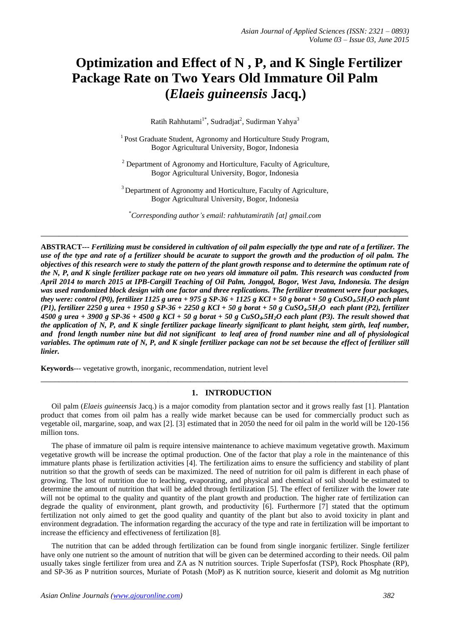# **Optimization and Effect of N , P, and K Single Fertilizer Package Rate on Two Years Old Immature Oil Palm (***Elaeis guineensis* **Jacq.)**

Ratih Rahhutami<sup>1\*</sup>, Sudradjat<sup>2</sup>, Sudirman Yahya<sup>3</sup>

<sup>1</sup> Post Graduate Student, Agronomy and Horticulture Study Program, Bogor Agricultural University, Bogor, Indonesia

<sup>2</sup> Department of Agronomy and Horticulture, Faculty of Agriculture, Bogor Agricultural University, Bogor, Indonesia

<sup>3</sup> Department of Agronomy and Horticulture, Faculty of Agriculture, Bogor Agricultural University, Bogor, Indonesia

\**Corresponding author's email: rahhutamiratih [at] gmail.com*

**\_\_\_\_\_\_\_\_\_\_\_\_\_\_\_\_\_\_\_\_\_\_\_\_\_\_\_\_\_\_\_\_\_\_\_\_\_\_\_\_\_\_\_\_\_\_\_\_\_\_\_\_\_\_\_\_\_\_\_\_\_\_\_\_\_\_\_\_\_\_\_\_\_\_\_\_\_\_\_\_\_**

**ABSTRACT---** *Fertilizing must be considered in cultivation of oil palm especially the type and rate of a fertilizer. The use of the type and rate of a fertilizer should be acurate to support the growth and the production of oil palm. The objectives of this research were to study the pattern of the plant growth response and to determine the optimum rate of the N, P, and K single fertilizer package rate on two years old immature oil palm. This research was conducted from April 2014 to march 2015 at IPB-Cargill Teaching of Oil Palm, Jonggol, Bogor, West Java, Indonesia. The design was used randomized block design with one factor and three replications. The fertilizer treatment were four packages, they were: control (P0), fertilizer 1125 g urea + 975 g SP-36 + 1125 g KCl + 50 g borat + 50 g CuSO4.5H2O each plant (P1), fertilizer 2250 g urea + 1950 g SP-36 + 2250 g KCl + 50 g borat + 50 g CuSO4.5H2O each plant (P2), fertilizer 4500 g urea + 3900 g SP-36 + 4500 g KCl + 50 g borat + 50 g CuSO4.5H2O each plant (P3). The result showed that the application of N, P, and K single fertilizer package linearly significant to plant height, stem girth, leaf number, and frond length number nine but did not significant to leaf area of frond number nine and all of physiological variables. The optimum rate of N, P, and K single fertilizer package can not be set because the effect of fertilizer still linier.*

**Keywords**--- vegetative growth, inorganic, recommendation, nutrient level

# **1. INTRODUCTION**

Oil palm (*Elaeis guineensis* Jacq.) is a major comodity from plantation sector and it grows really fast [1]. Plantation product that comes from oil palm has a really wide market because can be used for commercially product such as vegetable oil, margarine, soap, and wax [2]. [3] estimated that in 2050 the need for oil palm in the world will be 120-156 million tons.

\_\_\_\_\_\_\_\_\_\_\_\_\_\_\_\_\_\_\_\_\_\_\_\_\_\_\_\_\_\_\_\_\_\_\_\_\_\_\_\_\_\_\_\_\_\_\_\_\_\_\_\_\_\_\_\_\_\_\_\_\_\_\_\_\_\_\_\_\_\_\_\_\_\_\_\_\_\_\_\_\_

The phase of immature oil palm is require intensive maintenance to achieve maximum vegetative growth. Maximum vegetative growth will be increase the optimal production. One of the factor that play a role in the maintenance of this immature plants phase is fertilization activities [4]. The fertilization aims to ensure the sufficiency and stability of plant nutrition so that the growth of seeds can be maximized. The need of nutrition for oil palm is different in each phase of growing. The lost of nutrition due to leaching, evaporating, and physical and chemical of soil should be estimated to determine the amount of nutrition that will be added through fertilization [5]. The effect of fertilizer with the lower rate will not be optimal to the quality and quantity of the plant growth and production. The higher rate of fertilization can degrade the quality of environment, plant growth, and productivity [6]. Furthermore [7] stated that the optimum fertilization not only aimed to get the good quality and quantity of the plant but also to avoid toxicity in plant and environment degradation. The information regarding the accuracy of the type and rate in fertilization will be important to increase the efficiency and effectiveness of fertilization [8].

The nutrition that can be added through fertilization can be found from single inorganic fertilizer. Single fertilizer have only one nutrient so the amount of nutrition that will be given can be determined according to their needs. Oil palm usually takes single fertilizer from urea and ZA as N nutrition sources. Triple Superfosfat (TSP), Rock Phosphate (RP), and SP-36 as P nutrition sources, Muriate of Potash (MoP) as K nutrition source, kieserit and dolomit as Mg nutrition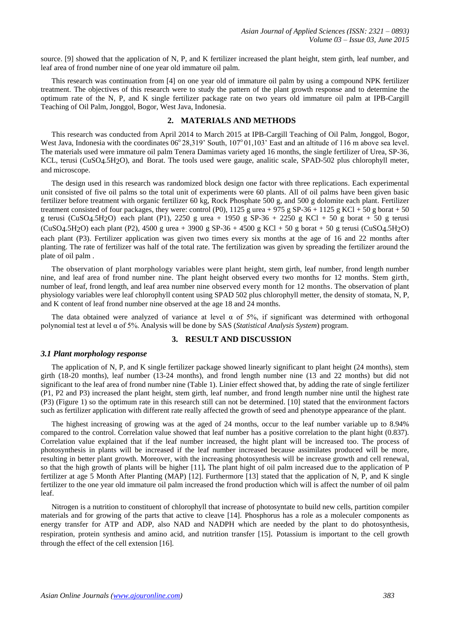source. [9] showed that the application of N, P, and K fertilizer increased the plant height, stem girth, leaf number, and leaf area of frond number nine of one year old immature oil palm.

This research was continuation from [4] on one year old of immature oil palm by using a compound NPK fertilizer treatment. The objectives of this research were to study the pattern of the plant growth response and to determine the optimum rate of the N, P, and K single fertilizer package rate on two years old immature oil palm at IPB-Cargill Teaching of Oil Palm, Jonggol, Bogor, West Java, Indonesia.

## **2. MATERIALS AND METHODS**

This research was conducted from April 2014 to March 2015 at IPB-Cargill Teaching of Oil Palm, Jonggol, Bogor, West Java, Indonesia with the coordinates 06° 28,319' South, 107° 01,103' East and an altitude of 116 m above sea level. The materials used were immature oil palm Tenera Damimas variety aged 16 months, the single fertilizer of Urea, SP-36, KCL, terusi (CuSO4.5H2O), and Borat. The tools used were gauge, analitic scale, SPAD-502 plus chlorophyll meter, and microscope.

The design used in this research was randomized block design one factor with three replications. Each experimental unit consisted of five oil palms so the total unit of experiments were 60 plants. All of oil palms have been given basic fertilizer before treatment with organic fertilizer 60 kg, Rock Phosphate 500 g, and 500 g dolomite each plant. Fertilizer treatment consisted of four packages, they were: control (P0),  $1125$  g urea + 975 g SP-36 + 1125 g KCl + 50 g borat + 50 g terusi (CuSO4.5H<sub>2</sub>O) each plant (P1), 2250 g urea + 1950 g SP-36 + 2250 g KCl + 50 g borat + 50 g terusi (CuSO4.5H<sub>2</sub>O) each plant (P2), 4500 g urea + 3900 g SP-36 + 4500 g KCl + 50 g borat + 50 g terusi (CuSO4.5H<sub>2</sub>O) each plant (P3). Fertilizer application was given two times every six months at the age of 16 and 22 months after planting. The rate of fertilizer was half of the total rate. The fertilization was given by spreading the fertilizer around the plate of oil palm .

The observation of plant morphology variables were plant height, stem girth, leaf number, frond length number nine, and leaf area of frond number nine. The plant height observed every two months for 12 months. Stem girth, number of leaf, frond length, and leaf area number nine observed every month for 12 months. The observation of plant physiology variables were leaf chlorophyll content using SPAD 502 plus chlorophyll metter, the density of stomata, N, P, and K content of leaf frond number nine observed at the age 18 and 24 months.

The data obtained were analyzed of variance at level  $\alpha$  of 5%, if significant was determined with orthogonal polynomial test at level α of 5%. Analysis will be done by SAS (*Statistical Analysis System*) program.

## **3. RESULT AND DISCUSSION**

#### *3.1 Plant morphology response*

The application of N, P, and K single fertilizer package showed linearly significant to plant height (24 months), stem girth (18-20 months), leaf number (13-24 months), and frond length number nine (13 and 22 months) but did not significant to the leaf area of frond number nine (Table 1). Linier effect showed that, by adding the rate of single fertilizer (P1, P2 and P3) increased the plant height, stem girth, leaf number, and frond length number nine until the highest rate (P3) (Figure 1) so the optimum rate in this research still can not be determined. [10] stated that the environment factors such as fertilizer application with different rate really affected the growth of seed and phenotype appearance of the plant.

The highest increasing of growing was at the aged of 24 months, occur to the leaf number variable up to 8.94% compared to the control. Correlation value showed that leaf number has a positive correlation to the plant hight (0.837). Correlation value explained that if the leaf number increased, the hight plant will be increased too. The process of photosynthesis in plants will be increased if the leaf number increased because assimilates produced will be more, resulting in better plant growth. Moreover, with the increasing photosynthesis will be increase growth and cell renewal, so that the high growth of plants will be higher [11]**.** The plant hight of oil palm increased due to the application of P fertilizer at age 5 Month After Planting (MAP) [12]. Furthermore [13] stated that the application of N, P, and K single fertilizer to the one year old immature oil palm increased the frond production which will is affect the number of oil palm leaf.

Nitrogen is a nutrition to constituent of chlorophyll that increase of photosyntate to build new cells, partition compiler materials and for growing of the parts that active to cleave [14]. Phosphorus has a role as a moleculer components as energy transfer for ATP and ADP, also NAD and NADPH which are needed by the plant to do photosynthesis, respiration, protein synthesis and amino acid, and nutrition transfer [15]. Potassium is important to the cell growth through the effect of the cell extension [16].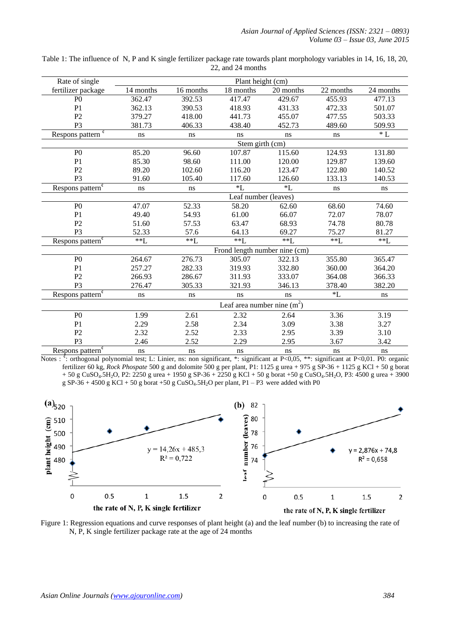| Rate of single                                       | Plant height (cm)             |           |           |           |           |           |  |
|------------------------------------------------------|-------------------------------|-----------|-----------|-----------|-----------|-----------|--|
| fertilizer package                                   | 14 months                     | 16 months | 18 months | 20 months | 22 months | 24 months |  |
| P <sub>0</sub>                                       | 362.47                        | 392.53    | 417.47    | 429.67    | 455.93    | 477.13    |  |
| P <sub>1</sub>                                       | 362.13                        | 390.53    | 418.93    | 431.33    | 472.33    | 501.07    |  |
| P <sub>2</sub>                                       | 379.27                        | 418.00    | 441.73    | 455.07    | 477.55    | 503.33    |  |
| P <sub>3</sub>                                       | 381.73                        | 406.33    | 438.40    | 452.73    | 489.60    | 509.93    |  |
| Respons pattern <sup>¢</sup>                         | ns                            | ns        | ns        | ns        | ns        | $\,^*$ L  |  |
|                                                      | Stem girth (cm)               |           |           |           |           |           |  |
| P <sub>0</sub>                                       | 85.20                         | 96.60     | 107.87    | 115.60    | 124.93    | 131.80    |  |
| P1                                                   | 85.30                         | 98.60     | 111.00    | 120.00    | 129.87    | 139.60    |  |
| P <sub>2</sub>                                       | 89.20                         | 102.60    | 116.20    | 123.47    | 122.80    | 140.52    |  |
| P <sub>3</sub>                                       | 91.60                         | 105.40    | 117.60    | 126.60    | 133.13    | 140.53    |  |
| Respons pattern <sup>¢</sup>                         | ns                            | ns        | $L^*$     | $*L$      | ns        | ns        |  |
|                                                      | Leaf number (leaves)          |           |           |           |           |           |  |
| P <sub>0</sub>                                       | 47.07                         | 52.33     | 58.20     | 62.60     | 68.60     | 74.60     |  |
| P <sub>1</sub>                                       | 49.40                         | 54.93     | 61.00     | 66.07     | 72.07     | 78.07     |  |
| P2                                                   | 51.60                         | 57.53     | 63.47     | 68.93     | 74.78     | 80.78     |  |
| P <sub>3</sub>                                       | 52.33                         | 57.6      | 64.13     | 69.27     | 75.27     | 81.27     |  |
| Respons pattern <sup><math>\sqrt[e]{ }</math></sup>  | $*$ $L$                       | $*L$      | $*$ $L$   | $*$ $L$   | $**I$ .   | $**I$ .   |  |
|                                                      | Frond length number nine (cm) |           |           |           |           |           |  |
| P <sub>0</sub>                                       | 264.67                        | 276.73    | 305.07    | 322.13    | 355.80    | 365.47    |  |
| P1                                                   | 257.27                        | 282.33    | 319.93    | 332.80    | 360.00    | 364.20    |  |
| P2                                                   | 266.93                        | 286.67    | 311.93    | 333.07    | 364.08    | 366.33    |  |
| P <sub>3</sub>                                       | 276.47                        | 305.33    | 321.93    | 346.13    | 378.40    | 382.20    |  |
| Respons pattern <sup><math>\overline{e}</math></sup> | ns                            | ns        | ns        | ns        | $*L$      | ns        |  |
|                                                      | Leaf area number nine $(m^2)$ |           |           |           |           |           |  |
| P <sub>0</sub>                                       | 1.99                          | 2.61      | 2.32      | 2.64      | 3.36      | 3.19      |  |
| P <sub>1</sub>                                       | 2.29                          | 2.58      | 2.34      | 3.09      | 3.38      | 3.27      |  |
| P2                                                   | 2.32                          | 2.52      | 2.33      | 2.95      | 3.39      | 3.10      |  |
| P <sub>3</sub>                                       | 2.46                          | 2.52      | 2.29      | 2.95      | 3.67      | 3.42      |  |
| Respons pattern <sup>¢</sup>                         | ns                            | ns        | ns        | ns        | ns        | ns        |  |

Table 1: The influence of N, P and K single fertilizer package rate towards plant morphology variables in 14, 16, 18, 20, 22, and 24 months

Notes :  $\frac{e}{v}$ : orthogonal polynomial test; L: Linier, ns: non significant, \*: significant at P<0,05, \*\*: significant at P<0,01. P0: organic fertilizer 60 kg, *Rock Phospate* 500 g and dolomite 500 g per plant, P1: 1125 g urea + 975 g SP-36 + 1125 g KCl + 50 g borat  $+ 50$  g CuSO<sub>4</sub>.5H<sub>2</sub>O, P2: 2250 g urea + 1950 g SP-36 + 2250 g KCl + 50 g borat +50 g CuSO<sub>4</sub>.5H<sub>2</sub>O, P3: 4500 g urea + 3900 g SP-36 + 4500 g KCl + 50 g borat +50 g CuSO<sub>4</sub>.5H<sub>2</sub>O per plant, P1 – P3 were added with P0



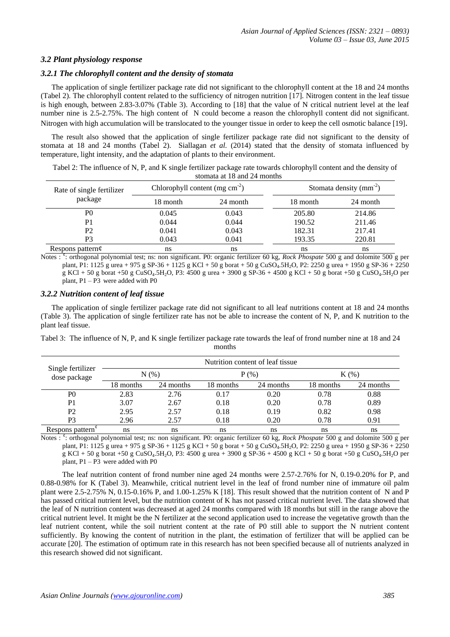## *3.2 Plant physiology response*

# *3.2.1 The chlorophyll content and the density of stomata*

The application of single fertilizer package rate did not significant to the chlorophyll content at the 18 and 24 months (Tabel 2). The chlorophyll content related to the sufficiency of nitrogen nutrition [17]. Nitrogen content in the leaf tissue is high enough, between 2.83-3.07% (Table 3). According to [18] that the value of N critical nutrient level at the leaf number nine is 2.5-2.75%. The high content of N could become a reason the chlorophyll content did not significant. Nitrogen with high accumulation will be translocated to the younger tissue in order to keep the cell osmotic balance [19].

The result also showed that the application of single fertilizer package rate did not significant to the density of stomata at 18 and 24 months (Tabel 2). Siallagan *et al.* (2014) stated that the density of stomata influenced by temperature, light intensity, and the adaptation of plants to their environment.

Tabel 2: The influence of N, P, and K single fertilizer package rate towards chlorophyll content and the density of stomata at 18 and 24 months

| Rate of single fertilizer | Chlorophyll content (mg $cm^{-2}$ ) |          | Stomata density $(mm^{-2})$ |          |  |
|---------------------------|-------------------------------------|----------|-----------------------------|----------|--|
| package                   | 18 month                            | 24 month | 18 month                    | 24 month |  |
| P0                        | 0.045                               | 0.043    | 205.80                      | 214.86   |  |
| P <sub>1</sub>            | 0.044                               | 0.044    | 190.52                      | 211.46   |  |
| P2                        | 0.041                               | 0.043    | 182.31                      | 217.41   |  |
| P3                        | 0.043                               | 0.041    | 193.35                      | 220.81   |  |
| Respons pattern $\phi$    | ns                                  | ns       | ns                          | ns       |  |

Notes : <sup>e</sup>: orthogonal polynomial test; ns: non significant. P0: organic fertilizer 60 kg, *Rock Phospate* 500 g and dolomite 500 g per plant, P1: 1125 g urea + 975 g SP-36 + 1125 g KCl + 50 g borat + 50 g CuSO4.5H2O, P2: 2250 g urea + 1950 g SP-36 + 2250 g KCl + 50 g borat +50 g CuSO4.5H2O, P3: 4500 g urea + 3900 g SP-36 + 4500 g KCl + 50 g borat +50 g CuSO4.5H2O per plant, P1 – P3 were added with P0

## *3.2.2 Nutrition content of leaf tissue*

The application of single fertilizer package rate did not significant to all leaf nutritions content at 18 and 24 months (Table 3). The application of single fertilizer rate has not be able to increase the content of N, P, and K nutrition to the plant leaf tissue.

| Single fertilizer<br>dose package | Nutrition content of leaf tissue |           |           |           |           |           |  |
|-----------------------------------|----------------------------------|-----------|-----------|-----------|-----------|-----------|--|
|                                   | N(%                              |           | $P(\%)$   |           | $K(\%)$   |           |  |
|                                   | 18 months                        | 24 months | 18 months | 24 months | 18 months | 24 months |  |
| P <sub>0</sub>                    | 2.83                             | 2.76      | 0.17      | 0.20      | 0.78      | 0.88      |  |
| P <sub>1</sub>                    | 3.07                             | 2.67      | 0.18      | 0.20      | 0.78      | 0.89      |  |
| P <sub>2</sub>                    | 2.95                             | 2.57      | 0.18      | 0.19      | 0.82      | 0.98      |  |
| P <sub>3</sub>                    | 2.96                             | 2.57      | 0.18      | 0.20      | 0.78      | 0.91      |  |
| Respons pattern <sup>v</sup>      | <sub>ns</sub>                    | ns        | ns        | ns        | ns        | ns        |  |

Tabel 3: The influence of N, P, and K single fertilizer package rate towards the leaf of frond number nine at 18 and 24 months

Notes : ¢ : orthogonal polynomial test; ns: non significant. P0: organic fertilizer 60 kg, *Rock Phospate* 500 g and dolomite 500 g per plant, P1: 1125 g urea + 975 g SP-36 + 1125 g KCl + 50 g borat + 50 g CuSO<sub>4</sub>.5H<sub>2</sub>O, P2: 2250 g urea + 1950 g SP-36 + 2250 g KCl + 50 g borat +50 g CuSO4.5H2O, P3: 4500 g urea + 3900 g SP-36 + 4500 g KCl + 50 g borat +50 g CuSO4.5H2O per plant, P1 – P3 were added with P0

The leaf nutrition content of frond number nine aged 24 months were 2.57-2.76% for N, 0.19-0.20% for P, and 0.88-0.98% for K (Tabel 3). Meanwhile, critical nutrient level in the leaf of frond number nine of immature oil palm plant were 2.5-2.75% N, 0.15-0.16% P, and 1.00-1.25% K [18]. This result showed that the nutrition content of N and P has passed critical nutrient level, but the nutrition content of K has not passed critical nutrient level. The data showed that the leaf of N nutrition content was decreased at aged 24 months compared with 18 months but still in the range above the critical nutrient level. It might be the N fertilizer at the second application used to increase the vegetative growth than the leaf nutrient content, while the soil nutrient content at the rate of P0 still able to support the N nutrient content sufficiently. By knowing the content of nutrition in the plant, the estimation of fertilizer that will be applied can be accurate [20]. The estimation of optimum rate in this research has not been specified because all of nutrients analyzed in this research showed did not significant.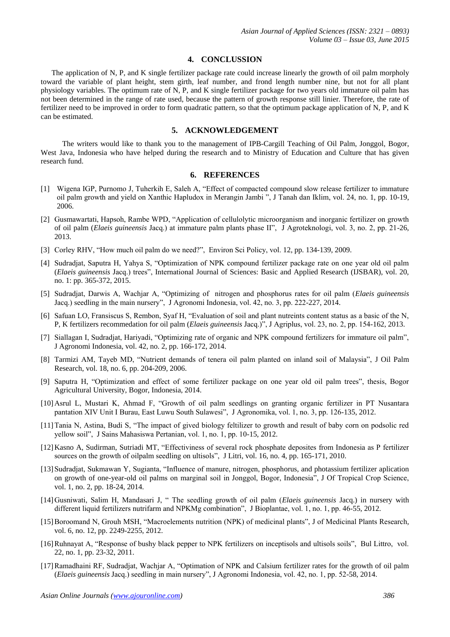#### **4. CONCLUSSION**

The application of N, P, and K single fertilizer package rate could increase linearly the growth of oil palm morpholy toward the variable of plant height, stem girth, leaf number, and frond length number nine, but not for all plant physiology variables. The optimum rate of N, P, and K single fertilizer package for two years old immature oil palm has not been determined in the range of rate used, because the pattern of growth response still linier. Therefore, the rate of fertilizer need to be improved in order to form quadratic pattern, so that the optimum package application of N, P, and K can be estimated.

# **5. ACKNOWLEDGEMENT**

The writers would like to thank you to the management of IPB-Cargill Teaching of Oil Palm, Jonggol, Bogor, West Java, Indonesia who have helped during the research and to Ministry of Education and Culture that has given research fund.

#### **6. REFERENCES**

- [1] Wigena IGP, Purnomo J, Tuherkih E, Saleh A, "Effect of compacted compound slow release fertilizer to immature oil palm growth and yield on Xanthic Hapludox in Merangin Jambi ", J Tanah dan Iklim, vol. 24, no. 1, pp. 10-19, 2006.
- [2] Gusmawartati, Hapsoh, Rambe WPD, "Application of cellulolytic microorganism and inorganic fertilizer on growth of oil palm (*Elaeis guineensis* Jacq.) at immature palm plants phase II", J Agroteknologi, vol. 3, no. 2, pp. 21-26, 2013.
- [3] Corley RHV, "How much oil palm do we need?", Environ Sci Policy, vol. 12, pp. 134-139, 2009.
- [4] Sudradjat, Saputra H, Yahya S, "Optimization of NPK compound fertilizer package rate on one year old oil palm (*Elaeis guineensis* Jacq.) trees", International Journal of Sciences: Basic and Applied Research (IJSBAR), vol. 20, no. 1: pp. 365-372, 2015.
- [5] Sudradjat, Darwis A, Wachjar A, "Optimizing of nitrogen and phosphorus rates for oil palm (*Elaeis guineensis* Jacq.) seedling in the main nursery", J Agronomi Indonesia, vol. 42, no. 3, pp. 222-227, 2014.
- [6] Safuan LO, Fransiscus S, Rembon, Syaf H, "Evaluation of soil and plant nutreints content status as a basic of the N, P, K fertilizers recommedation for oil palm (*Elaeis guineensis* Jacq.)", J Agriplus, vol. 23, no. 2, pp. 154-162, 2013.
- [7] Siallagan I, Sudradjat, Hariyadi, "Optimizing rate of organic and NPK compound fertilizers for immature oil palm", J Agronomi Indonesia, vol. 42, no. 2, pp. 166-172, 2014.
- [8] Tarmizi AM, Tayeb MD, "Nutrient demands of tenera oil palm planted on inland soil of Malaysia", J Oil Palm Research, vol. 18, no. 6, pp. 204-209, 2006.
- [9] Saputra H, "Optimization and effect of some fertilizer package on one year old oil palm trees", thesis, Bogor Agricultural University, Bogor, Indonesia, 2014.
- [10]Asrul L, Mustari K, Ahmad F, "Growth of oil palm seedlings on granting organic fertilizer in PT Nusantara pantation XIV Unit I Burau, East Luwu South Sulawesi", J Agronomika, vol. 1, no. 3, pp. 126-135, 2012.
- [11]Tania N, Astina, Budi S, "The impact of gived biology feltilizer to growth and result of baby corn on podsolic red yellow soil", J Sains Mahasiswa Pertanian, vol. 1, no. 1, pp. 10-15, 2012.
- [12]Kasno A, Sudirman, Sutriadi MT, "Effectiviness of several rock phosphate deposites from Indonesia as P fertilizer sources on the growth of oilpalm seedling on ultisols", J Litri, vol. 16, no. 4, pp. 165-171, 2010.
- [13]Sudradjat, Sukmawan Y, Sugianta, "Influence of manure, nitrogen, phosphorus, and photassium fertilizer aplication on growth of one-year-old oil palms on marginal soil in Jonggol, Bogor, Indonesia", J Of Tropical Crop Science, vol. 1, no. 2, pp. 18-24, 2014.
- [14]Gusniwati, Salim H, Mandasari J, " The seedling growth of oil palm (*Elaeis guineensis* Jacq.) in nursery with different liquid fertilizers nutrifarm and NPKMg combination", J Bioplantae, vol. 1, no. 1, pp. 46-55, 2012.
- [15]Boroomand N, Grouh MSH, "Macroelements nutrition (NPK) of medicinal plants", J of Medicinal Plants Research*,*  vol. 6, no. 12, pp. 2249-2255, 2012.
- [16]Ruhnayat A, "Response of bushy black pepper to NPK fertilizers on inceptisols and ultisols soils", Bul Littro, vol. 22, no. 1, pp. 23-32, 2011.
- [17]Ramadhaini RF, Sudradjat, Wachjar A, "Optimation of NPK and Calsium fertilizer rates for the growth of oil palm (*Elaeis guineensis* Jacq.) seedling in main nursery", J Agronomi Indonesia, vol. 42, no. 1, pp. 52-58, 2014.